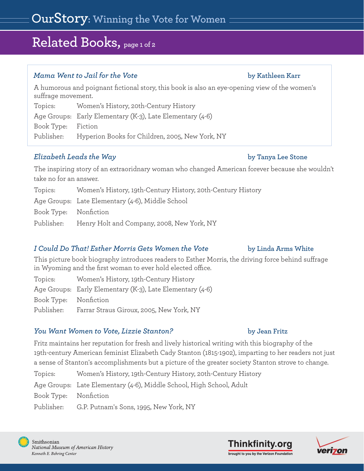# **Related Books, page 1 of 2**

### *Mama Went to Jail for the Vote* **by Kathleen Karr**

A humorous and poignant fictional story, this book is also an eye-opening view of the women's suffrage movement.

Topics: Women's History, 20th-Century History

Age Groups: Early Elementary (K-3), Late Elementary (4-6)

Book Type: Fiction

Publisher: Hyperion Books for Children, 2005, New York, NY

## *Elizabeth Leads the Way* **by Tanya Lee Stone**

The inspiring story of an extraoridnary woman who changed American forever because she wouldn't take no for an answer.

|                       | Topics: Women's History, 19th-Century History, 20th-Century History |
|-----------------------|---------------------------------------------------------------------|
|                       | Age Groups: Late Elementary (4-6), Middle School                    |
| Book Type: Nonfiction |                                                                     |
|                       | Publisher: Henry Holt and Company, 2008, New York, NY               |

### *I* Could Do That! Esther Morris Gets Women the Vote by Linda Arms White

This picture book biography introduces readers to Esther Morris, the driving force behind suffrage in Wyoming and the first woman to ever hold elected office.

| Topics:               | Women's History, 19th-Century History                     |
|-----------------------|-----------------------------------------------------------|
|                       | Age Groups: Early Elementary (K-3), Late Elementary (4-6) |
| Book Type: Nonfiction |                                                           |
| Publisher:            | Farrar Straus Giroux, 2005, New York, NY                  |

### *You Want Women to Vote, Lizzie Stanton?* **by Jean Fritz**

Fritz maintains her reputation for fresh and lively historical writing with this biography of the 19th-century American feminist Elizabeth Cady Stanton (1815-1902), imparting to her readers not just a sense of Stanton's accomplishments but a picture of the greater society Stanton strove to change.

| Topics:               | Women's History, 19th-Century History, 20th-Century History          |
|-----------------------|----------------------------------------------------------------------|
|                       | Age Groups: Late Elementary (4-6), Middle School, High School, Adult |
| Book Type: Nonfiction |                                                                      |
|                       | Publisher: G.P. Putnam's Sons, 1995, New York, NY                    |